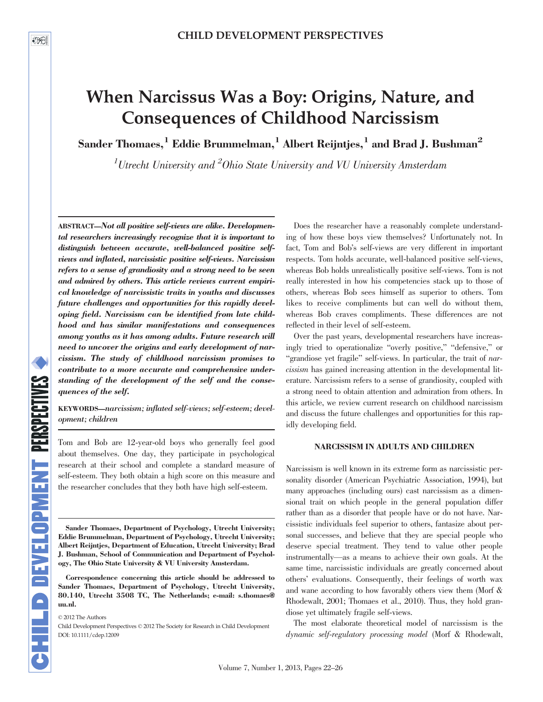# When Narcissus Was a Boy: Origins, Nature, and Consequences of Childhood Narcissism

Sander Thomaes, $^1$  Eddie Brummelman, $^1$  Albert Reijntjes, $^1$  and Brad J. Bushman<sup>2</sup>

 $^{1}$ Utrecht University and  $^{2}$ Ohio State University and VU University Amsterdam

ABSTRACT—Not all positive self-views are alike. Developmental researchers increasingly recognize that it is important to distinguish between accurate, well-balanced positive selfviews and inflated, narcissistic positive self-views. Narcissism refers to a sense of grandiosity and a strong need to be seen and admired by others. This article reviews current empirical knowledge of narcissistic traits in youths and discusses future challenges and opportunities for this rapidly developing field. Narcissism can be identified from late childhood and has similar manifestations and consequences among youths as it has among adults. Future research will need to uncover the origins and early development of narcissism. The study of childhood narcissism promises to contribute to a more accurate and comprehensive understanding of the development of the self and the consequences of the self.

KEYWORDS—narcissism; inflated self-views; self-esteem; development; children

Tom and Bob are 12-year-old boys who generally feel good about themselves. One day, they participate in psychological research at their school and complete a standard measure of self-esteem. They both obtain a high score on this measure and the researcher concludes that they both have high self-esteem.

Sander Thomaes, Department of Psychology, Utrecht University; Eddie Brummelman, Department of Psychology, Utrecht University; Albert Reijntjes, Department of Education, Utrecht University; Brad J. Bushman, School of Communication and Department of Psychology, The Ohio State University & VU University Amsterdam.

Correspondence concerning this article should be addressed to Sander Thomaes, Department of Psychology, Utrecht University, 80.140, Utrecht 3508 TC, The Netherlands; e-mail: s.thomaes@ uu.nl.

© 2012 The Authors

Does the researcher have a reasonably complete understanding of how these boys view themselves? Unfortunately not. In fact, Tom and Bob's self-views are very different in important respects. Tom holds accurate, well-balanced positive self-views, whereas Bob holds unrealistically positive self-views. Tom is not really interested in how his competencies stack up to those of others, whereas Bob sees himself as superior to others. Tom likes to receive compliments but can well do without them, whereas Bob craves compliments. These differences are not reflected in their level of self-esteem.

Over the past years, developmental researchers have increasingly tried to operationalize "overly positive," "defensive," or "grandiose yet fragile" self-views. In particular, the trait of narcissism has gained increasing attention in the developmental literature. Narcissism refers to a sense of grandiosity, coupled with a strong need to obtain attention and admiration from others. In this article, we review current research on childhood narcissism and discuss the future challenges and opportunities for this rapidly developing field.

## NARCISSISM IN ADULTS AND CHILDREN

Narcissism is well known in its extreme form as narcissistic personality disorder (American Psychiatric Association, 1994), but many approaches (including ours) cast narcissism as a dimensional trait on which people in the general population differ rather than as a disorder that people have or do not have. Narcissistic individuals feel superior to others, fantasize about personal successes, and believe that they are special people who deserve special treatment. They tend to value other people instrumentally—as a means to achieve their own goals. At the same time, narcissistic individuals are greatly concerned about others' evaluations. Consequently, their feelings of worth wax and wane according to how favorably others view them (Morf & Rhodewalt, 2001; Thomaes et al., 2010). Thus, they hold grandiose yet ultimately fragile self-views.

The most elaborate theoretical model of narcissism is the dynamic self-regulatory processing model (Morf & Rhodewalt,

 $\sqrt{\frac{1}{2}}$ 

Child Development Perspectives © 2012 The Society for Research in Child Development DOI: 10.1111/cdep.12009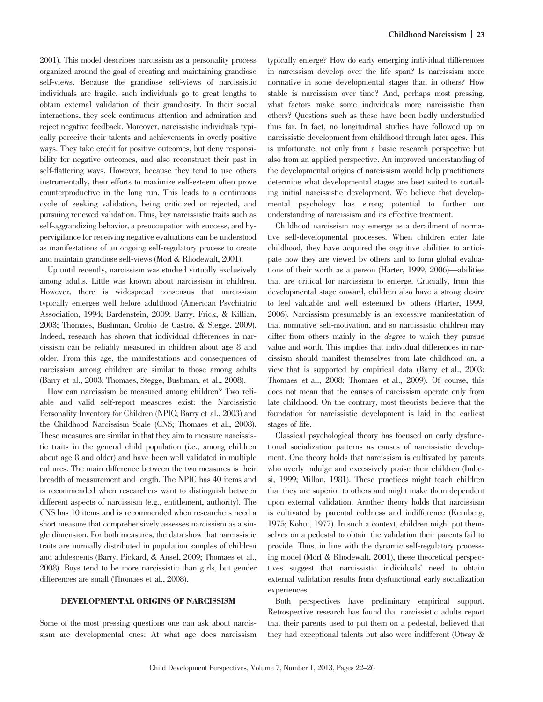2001). This model describes narcissism as a personality process organized around the goal of creating and maintaining grandiose self-views. Because the grandiose self-views of narcissistic individuals are fragile, such individuals go to great lengths to obtain external validation of their grandiosity. In their social interactions, they seek continuous attention and admiration and reject negative feedback. Moreover, narcissistic individuals typically perceive their talents and achievements in overly positive ways. They take credit for positive outcomes, but deny responsibility for negative outcomes, and also reconstruct their past in self-flattering ways. However, because they tend to use others instrumentally, their efforts to maximize self-esteem often prove counterproductive in the long run. This leads to a continuous cycle of seeking validation, being criticized or rejected, and pursuing renewed validation. Thus, key narcissistic traits such as self-aggrandizing behavior, a preoccupation with success, and hypervigilance for receiving negative evaluations can be understood as manifestations of an ongoing self-regulatory process to create and maintain grandiose self-views (Morf & Rhodewalt, 2001).

Up until recently, narcissism was studied virtually exclusively among adults. Little was known about narcissism in children. However, there is widespread consensus that narcissism typically emerges well before adulthood (American Psychiatric Association, 1994; Bardenstein, 2009; Barry, Frick, & Killian, 2003; Thomaes, Bushman, Orobio de Castro, & Stegge, 2009). Indeed, research has shown that individual differences in narcissism can be reliably measured in children about age 8 and older. From this age, the manifestations and consequences of narcissism among children are similar to those among adults (Barry et al., 2003; Thomaes, Stegge, Bushman, et al., 2008).

How can narcissism be measured among children? Two reliable and valid self-report measures exist: the Narcissistic Personality Inventory for Children (NPIC; Barry et al., 2003) and the Childhood Narcissism Scale (CNS; Thomaes et al., 2008). These measures are similar in that they aim to measure narcissistic traits in the general child population (i.e., among children about age 8 and older) and have been well validated in multiple cultures. The main difference between the two measures is their breadth of measurement and length. The NPIC has 40 items and is recommended when researchers want to distinguish between different aspects of narcissism (e.g., entitlement, authority). The CNS has 10 items and is recommended when researchers need a short measure that comprehensively assesses narcissism as a single dimension. For both measures, the data show that narcissistic traits are normally distributed in population samples of children and adolescents (Barry, Pickard, & Ansel, 2009; Thomaes et al., 2008). Boys tend to be more narcissistic than girls, but gender differences are small (Thomaes et al., 2008).

#### DEVELOPMENTAL ORIGINS OF NARCISSISM

Some of the most pressing questions one can ask about narcissism are developmental ones: At what age does narcissism typically emerge? How do early emerging individual differences in narcissism develop over the life span? Is narcissism more normative in some developmental stages than in others? How stable is narcissism over time? And, perhaps most pressing, what factors make some individuals more narcissistic than others? Questions such as these have been badly understudied thus far. In fact, no longitudinal studies have followed up on narcissistic development from childhood through later ages. This is unfortunate, not only from a basic research perspective but also from an applied perspective. An improved understanding of the developmental origins of narcissism would help practitioners determine what developmental stages are best suited to curtailing initial narcissistic development. We believe that developmental psychology has strong potential to further our understanding of narcissism and its effective treatment.

Childhood narcissism may emerge as a derailment of normative self-developmental processes. When children enter late childhood, they have acquired the cognitive abilities to anticipate how they are viewed by others and to form global evaluations of their worth as a person (Harter, 1999, 2006)—abilities that are critical for narcissism to emerge. Crucially, from this developmental stage onward, children also have a strong desire to feel valuable and well esteemed by others (Harter, 1999, 2006). Narcissism presumably is an excessive manifestation of that normative self-motivation, and so narcissistic children may differ from others mainly in the *degree* to which they pursue value and worth. This implies that individual differences in narcissism should manifest themselves from late childhood on, a view that is supported by empirical data (Barry et al., 2003; Thomaes et al., 2008; Thomaes et al., 2009). Of course, this does not mean that the causes of narcissism operate only from late childhood. On the contrary, most theorists believe that the foundation for narcissistic development is laid in the earliest stages of life.

Classical psychological theory has focused on early dysfunctional socialization patterns as causes of narcissistic development. One theory holds that narcissism is cultivated by parents who overly indulge and excessively praise their children (Imbesi, 1999; Millon, 1981). These practices might teach children that they are superior to others and might make them dependent upon external validation. Another theory holds that narcissism is cultivated by parental coldness and indifference (Kernberg, 1975; Kohut, 1977). In such a context, children might put themselves on a pedestal to obtain the validation their parents fail to provide. Thus, in line with the dynamic self-regulatory processing model (Morf & Rhodewalt, 2001), these theoretical perspectives suggest that narcissistic individuals' need to obtain external validation results from dysfunctional early socialization experiences.

Both perspectives have preliminary empirical support. Retrospective research has found that narcissistic adults report that their parents used to put them on a pedestal, believed that they had exceptional talents but also were indifferent (Otway &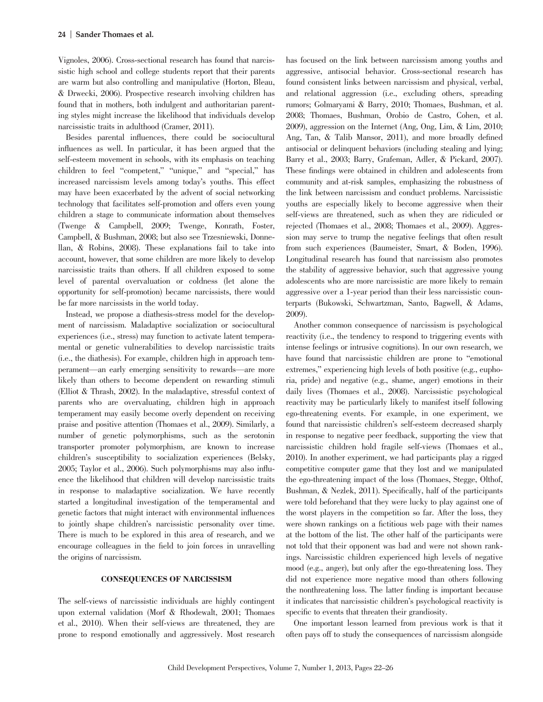Vignoles, 2006). Cross-sectional research has found that narcissistic high school and college students report that their parents are warm but also controlling and manipulative (Horton, Bleau, & Drwecki, 2006). Prospective research involving children has found that in mothers, both indulgent and authoritarian parenting styles might increase the likelihood that individuals develop narcissistic traits in adulthood (Cramer, 2011).

Besides parental influences, there could be sociocultural influences as well. In particular, it has been argued that the self-esteem movement in schools, with its emphasis on teaching children to feel "competent," "unique," and "special," has increased narcissism levels among today's youths. This effect may have been exacerbated by the advent of social networking technology that facilitates self-promotion and offers even young children a stage to communicate information about themselves (Twenge & Campbell, 2009; Twenge, Konrath, Foster, Campbell, & Bushman, 2008; but also see Trzesniewski, Donnellan, & Robins, 2008). These explanations fail to take into account, however, that some children are more likely to develop narcissistic traits than others. If all children exposed to some level of parental overvaluation or coldness (let alone the opportunity for self-promotion) became narcissists, there would be far more narcissists in the world today.

Instead, we propose a diathesis-stress model for the development of narcissism. Maladaptive socialization or sociocultural experiences (i.e., stress) may function to activate latent temperamental or genetic vulnerabilities to develop narcissistic traits (i.e., the diathesis). For example, children high in approach temperament—an early emerging sensitivity to rewards—are more likely than others to become dependent on rewarding stimuli (Elliot & Thrash, 2002). In the maladaptive, stressful context of parents who are overvaluating, children high in approach temperament may easily become overly dependent on receiving praise and positive attention (Thomaes et al., 2009). Similarly, a number of genetic polymorphisms, such as the serotonin transporter promoter polymorphism, are known to increase children's susceptibility to socialization experiences (Belsky, 2005; Taylor et al., 2006). Such polymorphisms may also influence the likelihood that children will develop narcissistic traits in response to maladaptive socialization. We have recently started a longitudinal investigation of the temperamental and genetic factors that might interact with environmental influences to jointly shape children's narcissistic personality over time. There is much to be explored in this area of research, and we encourage colleagues in the field to join forces in unravelling the origins of narcissism.

### CONSEQUENCES OF NARCISSISM

The self-views of narcissistic individuals are highly contingent upon external validation (Morf & Rhodewalt, 2001; Thomaes et al., 2010). When their self-views are threatened, they are prone to respond emotionally and aggressively. Most research has focused on the link between narcissism among youths and aggressive, antisocial behavior. Cross-sectional research has found consistent links between narcissism and physical, verbal, and relational aggression (i.e., excluding others, spreading rumors; Golmaryami & Barry, 2010; Thomaes, Bushman, et al. 2008; Thomaes, Bushman, Orobio de Castro, Cohen, et al. 2009), aggression on the Internet (Ang, Ong, Lim, & Lim, 2010; Ang, Tan, & Talib Mansor, 2011), and more broadly defined antisocial or delinquent behaviors (including stealing and lying; Barry et al., 2003; Barry, Grafeman, Adler, & Pickard, 2007). These findings were obtained in children and adolescents from community and at-risk samples, emphasizing the robustness of the link between narcissism and conduct problems. Narcissistic youths are especially likely to become aggressive when their self-views are threatened, such as when they are ridiculed or rejected (Thomaes et al., 2008; Thomaes et al., 2009). Aggression may serve to trump the negative feelings that often result from such experiences (Baumeister, Smart, & Boden, 1996). Longitudinal research has found that narcissism also promotes the stability of aggressive behavior, such that aggressive young adolescents who are more narcissistic are more likely to remain aggressive over a 1-year period than their less narcissistic counterparts (Bukowski, Schwartzman, Santo, Bagwell, & Adams, 2009).

Another common consequence of narcissism is psychological reactivity (i.e., the tendency to respond to triggering events with intense feelings or intrusive cognitions). In our own research, we have found that narcissistic children are prone to "emotional extremes," experiencing high levels of both positive (e.g., euphoria, pride) and negative (e.g., shame, anger) emotions in their daily lives (Thomaes et al., 2008). Narcissistic psychological reactivity may be particularly likely to manifest itself following ego-threatening events. For example, in one experiment, we found that narcissistic children's self-esteem decreased sharply in response to negative peer feedback, supporting the view that narcissistic children hold fragile self-views (Thomaes et al., 2010). In another experiment, we had participants play a rigged competitive computer game that they lost and we manipulated the ego-threatening impact of the loss (Thomaes, Stegge, Olthof, Bushman, & Nezlek, 2011). Specifically, half of the participants were told beforehand that they were lucky to play against one of the worst players in the competition so far. After the loss, they were shown rankings on a fictitious web page with their names at the bottom of the list. The other half of the participants were not told that their opponent was bad and were not shown rankings. Narcissistic children experienced high levels of negative mood (e.g., anger), but only after the ego-threatening loss. They did not experience more negative mood than others following the nonthreatening loss. The latter finding is important because it indicates that narcissistic children's psychological reactivity is specific to events that threaten their grandiosity.

One important lesson learned from previous work is that it often pays off to study the consequences of narcissism alongside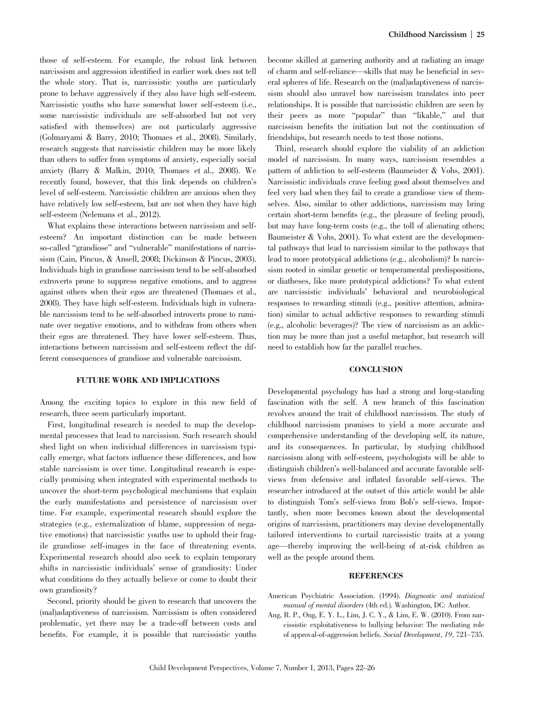those of self-esteem. For example, the robust link between narcissism and aggression identified in earlier work does not tell the whole story. That is, narcissistic youths are particularly prone to behave aggressively if they also have high self-esteem. Narcissistic youths who have somewhat lower self-esteem (i.e., some narcissistic individuals are self-absorbed but not very satisfied with themselves) are not particularly aggressive (Golmaryami & Barry, 2010; Thomaes et al., 2008). Similarly, research suggests that narcissistic children may be more likely than others to suffer from symptoms of anxiety, especially social anxiety (Barry & Malkin, 2010; Thomaes et al., 2008). We recently found, however, that this link depends on children's level of self-esteem. Narcissistic children are anxious when they have relatively low self-esteem, but are not when they have high self-esteem (Nelemans et al., 2012).

What explains these interactions between narcissism and selfesteem? An important distinction can be made between so-called "grandiose" and "vulnerable" manifestations of narcissism (Cain, Pincus, & Ansell, 2008; Dickinson & Pincus, 2003). Individuals high in grandiose narcissism tend to be self-absorbed extroverts prone to suppress negative emotions, and to aggress against others when their egos are threatened (Thomaes et al., 2008). They have high self-esteem. Individuals high in vulnerable narcissism tend to be self-absorbed introverts prone to ruminate over negative emotions, and to withdraw from others when their egos are threatened. They have lower self-esteem. Thus, interactions between narcissism and self-esteem reflect the different consequences of grandiose and vulnerable narcissism.

## FUTURE WORK AND IMPLICATIONS

Among the exciting topics to explore in this new field of research, three seem particularly important.

First, longitudinal research is needed to map the developmental processes that lead to narcissism. Such research should shed light on when individual differences in narcissism typically emerge, what factors influence these differences, and how stable narcissism is over time. Longitudinal research is especially promising when integrated with experimental methods to uncover the short-term psychological mechanisms that explain the early manifestations and persistence of narcissism over time. For example, experimental research should explore the strategies (e.g., externalization of blame, suppression of negative emotions) that narcissistic youths use to uphold their fragile grandiose self-images in the face of threatening events. Experimental research should also seek to explain temporary shifts in narcissistic individuals' sense of grandiosity: Under what conditions do they actually believe or come to doubt their own grandiosity?

Second, priority should be given to research that uncovers the (mal)adaptiveness of narcissism. Narcissism is often considered problematic, yet there may be a trade-off between costs and benefits. For example, it is possible that narcissistic youths become skilled at garnering authority and at radiating an image of charm and self-reliance—skills that may be beneficial in several spheres of life. Research on the (mal)adaptiveness of narcissism should also unravel how narcissism translates into peer relationships. It is possible that narcissistic children are seen by their peers as more "popular" than "likable," and that narcissism benefits the initiation but not the continuation of friendships, but research needs to test those notions.

Third, research should explore the viability of an addiction model of narcissism. In many ways, narcissism resembles a pattern of addiction to self-esteem (Baumeister & Vohs, 2001). Narcissistic individuals crave feeling good about themselves and feel very bad when they fail to create a grandiose view of themselves. Also, similar to other addictions, narcissism may bring certain short-term benefits (e.g., the pleasure of feeling proud), but may have long-term costs (e.g., the toll of alienating others; Baumeister & Vohs, 2001). To what extent are the developmental pathways that lead to narcissism similar to the pathways that lead to more prototypical addictions (e.g., alcoholism)? Is narcissism rooted in similar genetic or temperamental predispositions, or diatheses, like more prototypical addictions? To what extent are narcissistic individuals' behavioral and neurobiological responses to rewarding stimuli (e.g., positive attention, admiration) similar to actual addictive responses to rewarding stimuli (e.g., alcoholic beverages)? The view of narcissism as an addiction may be more than just a useful metaphor, but research will need to establish how far the parallel reaches.

#### **CONCLUSION**

Developmental psychology has had a strong and long-standing fascination with the self. A new branch of this fascination revolves around the trait of childhood narcissism. The study of childhood narcissism promises to yield a more accurate and comprehensive understanding of the developing self, its nature, and its consequences. In particular, by studying childhood narcissism along with self-esteem, psychologists will be able to distinguish children's well-balanced and accurate favorable selfviews from defensive and inflated favorable self-views. The researcher introduced at the outset of this article would be able to distinguish Tom's self-views from Bob's self-views. Importantly, when more becomes known about the developmental origins of narcissism, practitioners may devise developmentally tailored interventions to curtail narcissistic traits at a young age—thereby improving the well-being of at-risk children as well as the people around them.

#### **REFERENCES**

- American Psychiatric Association. (1994). Diagnostic and statistical manual of mental disorders (4th ed.). Washington, DC: Author.
- Ang, R. P., Ong, E. Y. L., Lim, J. C. Y., & Lim, E. W. (2010). From narcissistic exploitativeness to bullying behavior: The mediating role of approval-of-aggression beliefs. Social Development, 19, 721–735.